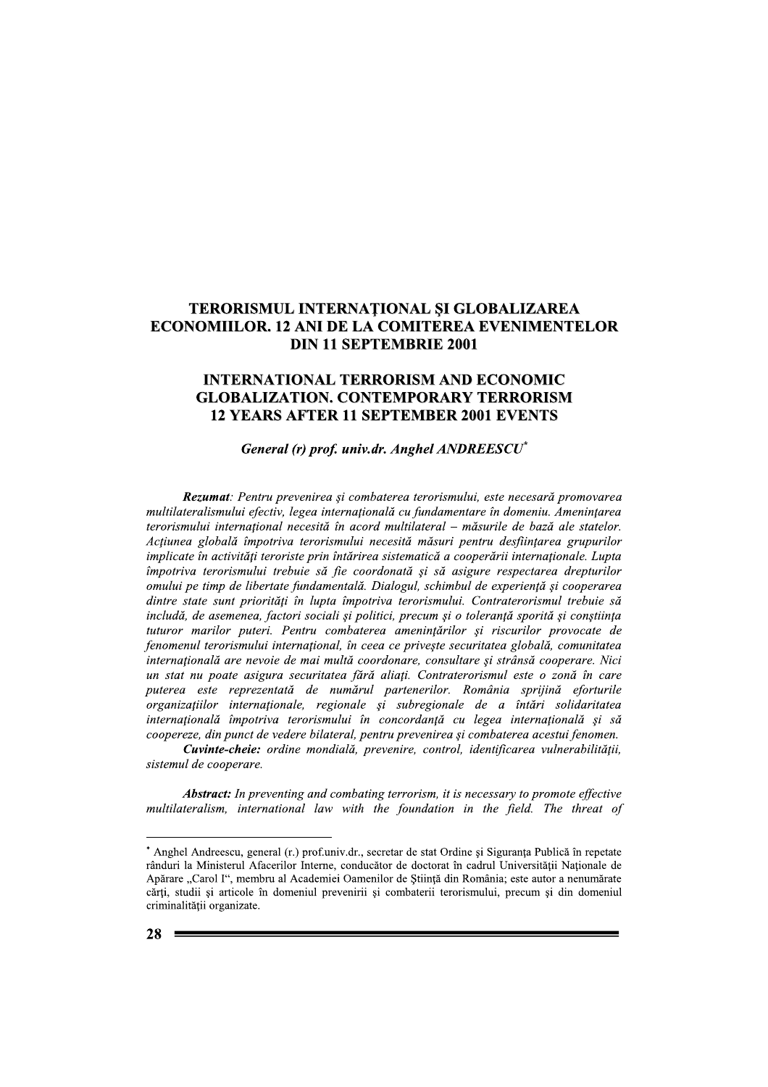## TERORISMUL INTERNATIONAL SI GLOBALIZAREA **ECONOMIILOR. 12 ANI DE LA COMITEREA EVENIMENTELOR DIN 11 SEPTEMBRIE 2001**

## **INTERNATIONAL TERRORISM AND ECONOMIC GLOBALIZATION. CONTEMPORARY TERRORISM 12 YEARS AFTER 11 SEPTEMBER 2001 EVENTS**

## General (r) prof. univ.dr. Anghel ANDREESCU<sup>\*</sup>

Rezumat: Pentru prevenirea și combaterea terorismului, este necesară promovarea multilateralismului efectiv, legea internațională cu fundamentare în domeniu. Amenințarea terorismului internațional necesită în acord multilateral – măsurile de bază ale statelor. Acțiunea globală împotriva terorismului necesită măsuri pentru desființarea grupurilor implicate în activități teroriste prin întărirea sistematică a cooperării internaționale. Lupta împotriva terorismului trebuie să fie coordonată și să asigure respectarea drepturilor omului pe timp de libertate fundamentală. Dialogul, schimbul de experiență și cooperarea dintre state sunt priorități în lupta împotriva terorismului. Contraterorismul trebuie să includă, de asemenea, factori sociali si politici, precum si o tolerantă sporită si constiinta tuturor marilor puteri. Pentru combaterea amenintărilor și riscurilor provocate de fenomenul terorismului international, în ceea ce priveste securitatea globală, comunitatea internatională are nevoie de mai multă coordonare, consultare și strânsă cooperare. Nici un stat nu poate asigura securitatea fără aliați. Contraterorismul este o zonă în care puterea este reprezentată de numărul partenerilor. România sprijină eforturile organizațiilor internaționale, regionale și subregionale de a întări solidaritatea internațională împotriva terorismului în concordanță cu legea internațională și să coopereze, din punct de vedere bilateral, pentru prevenirea și combaterea acestui fenomen.

Cuvinte-cheie: ordine mondială, prevenire, control, identificarea vulnerabilității, sistemul de cooperare.

**Abstract:** In preventing and combating terrorism, it is necessary to promote effective multilateralism, international law with the foundation in the field. The threat of

<sup>\*</sup> Anghel Andreescu, general (r.) prof.univ.dr., secretar de stat Ordine si Siguranta Publică în repetate rânduri la Ministerul Afacerilor Interne, conducător de doctorat în cadrul Universității Naționale de Apărare "Carol I", membru al Academiei Oamenilor de Știință din România; este autor a nenumărate cărți, studii și articole în domeniul prevenirii și combaterii terorismului, precum și din domeniul criminalității organizate.